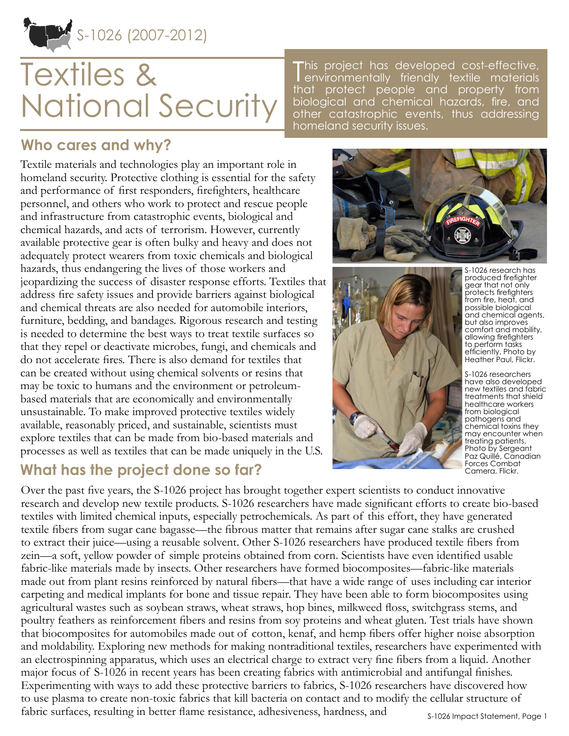

# Textiles & National Security

This project has developed cost-effective,<br>environmentally friendly textile materials environmentally friendly textile materials that protect people and property from biological and chemical hazards, fire, and other catastrophic events, thus addressing homeland security issues.

## **Who cares and why?**

Textile materials and technologies play an important role in homeland security. Protective clothing is essential for the safety and performance of first responders, firefighters, healthcare personnel, and others who work to protect and rescue people and infrastructure from catastrophic events, biological and chemical hazards, and acts of terrorism. However, currently available protective gear is often bulky and heavy and does not adequately protect wearers from toxic chemicals and biological hazards, thus endangering the lives of those workers and jeopardizing the success of disaster response efforts. Textiles that address fire safety issues and provide barriers against biological and chemical threats are also needed for automobile interiors, furniture, bedding, and bandages. Rigorous research and testing is needed to determine the best ways to treat textile surfaces so that they repel or deactivate microbes, fungi, and chemicals and do not accelerate fires. There is also demand for textiles that can be created without using chemical solvents or resins that may be toxic to humans and the environment or petroleumbased materials that are economically and environmentally unsustainable. To make improved protective textiles widely available, reasonably priced, and sustainable, scientists must explore textiles that can be made from bio-based materials and processes as well as textiles that can be made uniquely in the U.S.

## **What has the project done so far?**





S-1026 research has produced firefighter gear that not only protects firefighters from fire, heat, and possible biological and chemical agents, but also improves comfort and mobility, allowing firefighters to perform tasks efficiently. Photo by Heather Paul, Flickr.

S-1026 researchers have also developed new textiles and fabric treatments that shield healthcare workers from biological pathogens and chemical toxins they may encounter when treating patients. Photo by Sergeant Paz Quillé, Canadian Forces Combat Camera, Flickr.

Over the past five years, the S-1026 project has brought together expert scientists to conduct innovative research and develop new textile products. S-1026 researchers have made significant efforts to create bio-based textiles with limited chemical inputs, especially petrochemicals. As part of this effort, they have generated textile fibers from sugar cane bagasse—the fibrous matter that remains after sugar cane stalks are crushed to extract their juice—using a reusable solvent. Other S-1026 researchers have produced textile fibers from zein—a soft, yellow powder of simple proteins obtained from corn. Scientists have even identified usable fabric-like materials made by insects. Other researchers have formed biocomposites—fabric-like materials made out from plant resins reinforced by natural fibers—that have a wide range of uses including car interior carpeting and medical implants for bone and tissue repair. They have been able to form biocomposites using agricultural wastes such as soybean straws, wheat straws, hop bines, milkweed floss, switchgrass stems, and poultry feathers as reinforcement fibers and resins from soy proteins and wheat gluten. Test trials have shown that biocomposites for automobiles made out of cotton, kenaf, and hemp fibers offer higher noise absorption and moldability. Exploring new methods for making nontraditional textiles, researchers have experimented with an electrospinning apparatus, which uses an electrical charge to extract very fine fibers from a liquid. Another major focus of S-1026 in recent years has been creating fabrics with antimicrobial and antifungal finishes. Experimenting with ways to add these protective barriers to fabrics, S-1026 researchers have discovered how to use plasma to create non-toxic fabrics that kill bacteria on contact and to modify the cellular structure of fabric surfaces, resulting in better flame resistance, adhesiveness, hardness, and